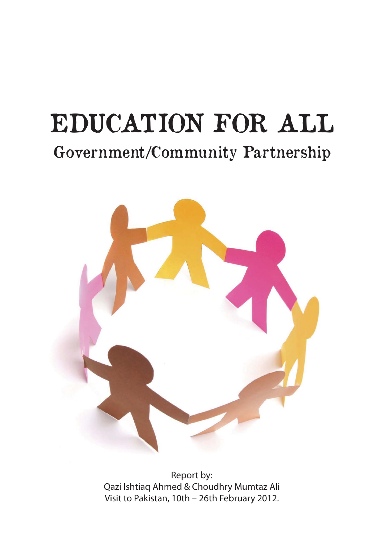# EDUCATION FOR ALL Government/Community Partnership



Report by: Qazi Ishtiaq Ahmed & Choudhry Mumtaz Ali Visit to Pakistan, 10th – 26th February 2012.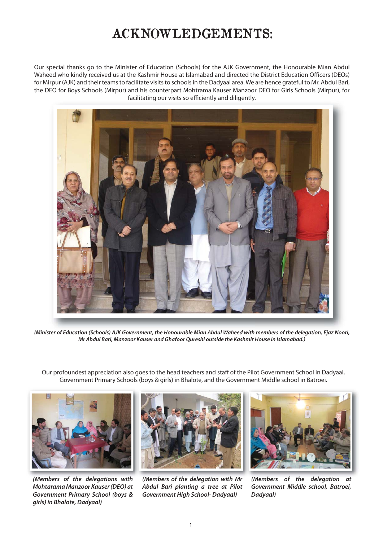#### ACKNOWLEDGEMENTS:

Our special thanks go to the Minister of Education (Schools) for the AJK Government, the Honourable Mian Abdul Waheed who kindly received us at the Kashmir House at Islamabad and directed the District Education Officers (DEOs) for Mirpur (AJK) and their teams to facilitate visits to schools in the Dadyaal area. We are hence grateful to Mr. Abdul Bari, the DEO for Boys Schools (Mirpur) and his counterpart Mohtrama Kauser Manzoor DEO for Girls Schools (Mirpur), for facilitating our visits so efficiently and diligently. facilitating our visits so efficiently and diligently.



(Minister of Education (Schools) AJK Government, the Honourable Mian Abdul Waheed with members of the delegation, Ejaz Noori, *Mr Abdul Bari, Manzoor Kauser and Ghafoor Qureshi outside the Kashmir House in Islamabad.)*

Our profoundest appreciation also goes to the head teachers and staff of the Pilot Government School in Dadyaal, Government Primary Schools (boys & girls) in Bhalote, and the Government Middle school in Batroei.



*(Members of the delegations with Mohtarama Manzoor Kauser (DEO) at Government Primary School (boys & girls) in Bhalote, Dadyaal)*



*(Members of the delegation with Mr Abdul Bari planting a tree at Pilot Government High School- Dadyaal)*



*(Members of the delegation at Government Middle school, Batroei, Dadyaal)*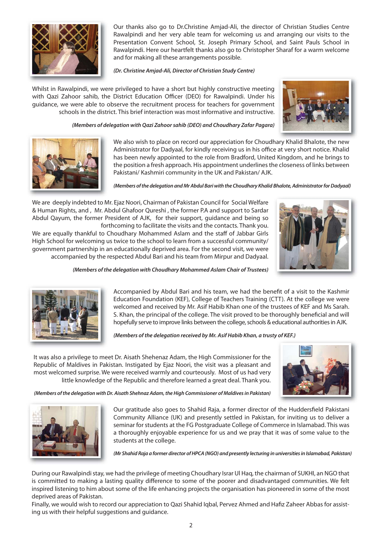

Our thanks also go to Dr.Christine Amjad-Ali, the director of Christian Studies Centre Rawalpindi and her very able team for welcoming us and arranging our visits to the Presentation Convent School, St. Joseph Primary School, and Saint Pauls School in Rawalpindi. Here our heartfelt thanks also go to Christopher Sharaf for a warm welcome and for making all these arrangements possible.

*(Dr. Christine Amjad-Ali, Director of Christian Study Centre)*

Whilst in Rawalpindi, we were privileged to have a short but highly constructive meeting with Qazi Zahoor sahib, the District Education Officer (DEO) for Rawalpindi. Under his guidance, we were able to observe the recruitment process for teachers for government schools in the district. This brief interaction was most informative and instructive.



*(Members of delegation with Qazi Zahoor sahib (DEO) and Choudhary Zafar Pagara)*



We also wish to place on record our appreciation for Choudhary Khalid Bhalote, the new Administrator for Dadyaal, for kindly receiving us in his office at very short notice. Khalid has been newly appointed to the role from Bradford, United Kingdom, and he brings to the position a fresh approach. His appointment underlines the closeness of links between Pakistani/ Kashmiri community in the UK and Pakistan/ AJK.

*(Members of the delegation and Mr Abdul Bari with the Choudhary Khalid Bhalote, Administrator for Dadyaal)*

We are deeply indebted to Mr. Ejaz Noori, Chairman of Pakistan Council for Social Welfare & Human Rights, and , Mr. Abdul Ghafoor Qureshi , the former P.A and support to Sardar Abdul Qayum, the former President of AJK, for their support, guidance and being so forthcoming to facilitate the visits and the contacts. Thank you.

We are equally thankful to Choudhary Mohammed Aslam and the staff of Jabbar Girls High School for welcoming us twice to the school to learn from a successful community/ government partnership in an educationally deprived area. For the second visit, we were accompanied by the respected Abdul Bari and his team from Mirpur and Dadyaal.



*(Members of the delegation with Choudhary Mohammed Aslam Chair of Trustees)*



Accompanied by Abdul Bari and his team, we had the benefit of a visit to the Kashmir Education Foundation (KEF), College of Teachers Training (CTT). At the college we were welcomed and received by Mr. Asif Habib Khan one of the trustees of KEF and Ms Sarah. S. Khan, the principal of the college. The visit proved to be thoroughly beneficial and will hopefully serve to improve links between the college, schools & educational authorities in AJK.

*(Members of the delegation received by Mr. Asif Habib Khan, a trusty of KEF.)*

It was also a privilege to meet Dr. Aisath Shehenaz Adam, the High Commissioner for the Republic of Maldives in Pakistan. Instigated by Ejaz Noori, the visit was a pleasant and most welcomed surprise. We were received warmly and courteously. Most of us had very little knowledge of the Republic and therefore learned a great deal. Thank you.



*(Members of the delegation with Dr. Aisath Shehnaz Adam, the High Commissioner of Maldives in Pakistan)*



Our gratitude also goes to Shahid Raja, a former director of the Huddersfield Pakistani Community Alliance (UK) and presently settled in Pakistan, for inviting us to deliver a seminar for students at the FG Postgraduate College of Commerce in Islamabad. This was a thoroughly enjoyable experience for us and we pray that it was of some value to the students at the college.

*(Mr Shahid Raja a former director of HPCA (NGO) and presently lecturing in universities in Islamabad, Pakistan)*

During our Rawalpindi stay, we had the privilege of meeting Choudhary Israr Ul Haq, the chairman of SUKHI, an NGO that is committed to making a lasting quality difference to some of the poorer and disadvantaged communities. We felt inspired listening to him about some of the life enhancing projects the organisation has pioneered in some of the most deprived areas of Pakistan.

Finally, we would wish to record our appreciation to Qazi Shahid Iqbal, Pervez Ahmed and Hafiz Zaheer Abbas for assisting us with their helpful suggestions and guidance.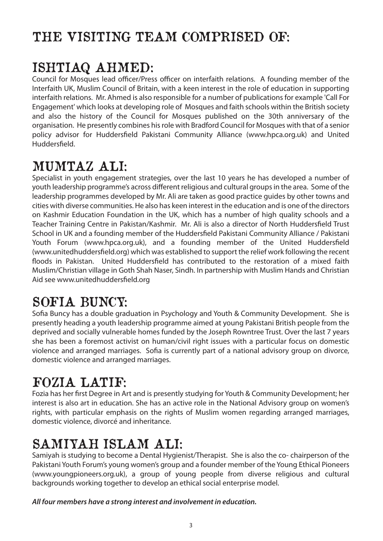# THE VISITING TEAM COMPRISED OF:

# ISHTIAQ AHMED:

Council for Mosques lead officer/Press officer on interfaith relations. A founding member of the Interfaith UK, Muslim Council of Britain, with a keen interest in the role of education in supporting interfaith relations. Mr. Ahmed is also responsible for a number of publications for example 'Call For Engagement' which looks at developing role of Mosques and faith schools within the British society and also the history of the Council for Mosques published on the 30th anniversary of the organisation. He presently combines his role with Bradford Council for Mosques with that of a senior policy advisor for Huddersfield Pakistani Community Alliance (www.hpca.org.uk) and United Huddersfield.

# MUMTAZ ALI:

Specialist in youth engagement strategies, over the last 10 years he has developed a number of youth leadership programme's across different religious and cultural groups in the area. Some of the leadership programmes developed by Mr. Ali are taken as good practice guides by other towns and cities with diverse communities. He also has keen interest in the education and is one of the directors on Kashmir Education Foundation in the UK, which has a number of high quality schools and a Teacher Training Centre in Pakistan/Kashmir. Mr. Ali is also a director of North Huddersfield Trust School in UK and a founding member of the Huddersfield Pakistani Community Alliance / Pakistani Youth Forum (www.hpca.org.uk), and a founding member of the United Huddersfield (www.unitedhuddersfield.org) which was established to support the relief work following the recent floods in Pakistan. United Huddersfield has contributed to the restoration of a mixed faith Muslim/Christian village in Goth Shah Naser, Sindh. In partnership with Muslim Hands and Christian Aid see www.unitedhuddersfield.org

### SOFIA BUNCY:

Sofia Buncy has a double graduation in Psychology and Youth & Community Development. She is presently heading a youth leadership programme aimed at young Pakistani British people from the deprived and socially vulnerable homes funded by the Joseph Rowntree Trust. Over the last 7 years she has been a foremost activist on human/civil right issues with a particular focus on domestic violence and arranged marriages. Sofia is currently part of a national advisory group on divorce, domestic violence and arranged marriages.

### FOZIA LATIF:

Fozia has her first Degree in Art and is presently studying for Youth & Community Development; her interest is also art in education. She has an active role in the National Advisory group on women's rights, with particular emphasis on the rights of Muslim women regarding arranged marriages, domestic violence, divorcé and inheritance.

#### SAMIYAH ISLAM ALI:

Samiyah is studying to become a Dental Hygienist/Therapist. She is also the co- chairperson of the Pakistani Youth Forum's young women's group and a founder member of the Young Ethical Pioneers (www.youngpioneers.org.uk), a group of young people from diverse religious and cultural backgrounds working together to develop an ethical social enterprise model.

#### *All four members have a strong interest and involvement in education.*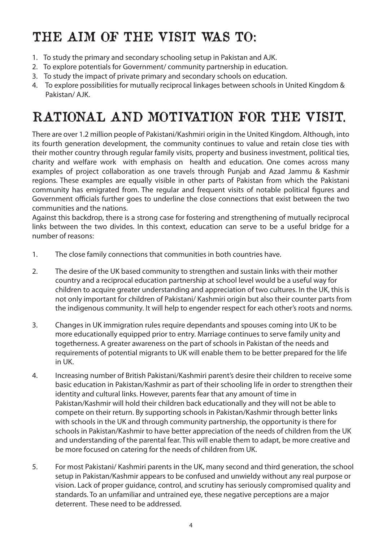# THE AIM OF THE VISIT WAS TO:

- 1. To study the primary and secondary schooling setup in Pakistan and AJK.
- 2. To explore potentials for Government/ community partnership in education.
- 3. To study the impact of private primary and secondary schools on education.
- 4. To explore possibilities for mutually reciprocal linkages between schools in United Kingdom & Pakistan/ AJK.

### RATIONAL AND MOTIVATION FOR THE VISIT.

There are over 1.2 million people of Pakistani/Kashmiri origin in the United Kingdom. Although, into its fourth generation development, the community continues to value and retain close ties with their mother country through regular family visits, property and business investment, political ties, charity and welfare work with emphasis on health and education. One comes across many examples of project collaboration as one travels through Punjab and Azad Jammu & Kashmir regions. These examples are equally visible in other parts of Pakistan from which the Pakistani community has emigrated from. The regular and frequent visits of notable political figures and Government officials further goes to underline the close connections that exist between the two communities and the nations.

Against this backdrop, there is a strong case for fostering and strengthening of mutually reciprocal links between the two divides. In this context, education can serve to be a useful bridge for a number of reasons:

- 1. The close family connections that communities in both countries have.
- 2. The desire of the UK based community to strengthen and sustain links with their mother country and a reciprocal education partnership at school level would be a useful way for children to acquire greater understanding and appreciation of two cultures. In the UK, this is not only important for children of Pakistani/ Kashmiri origin but also their counter parts from the indigenous community. It will help to engender respect for each other's roots and norms.
- 3. Changes in UK immigration rules require dependants and spouses coming into UK to be more educationally equipped prior to entry. Marriage continues to serve family unity and togetherness. A greater awareness on the part of schools in Pakistan of the needs and requirements of potential migrants to UK will enable them to be better prepared for the life in UK.
- 4. Increasing number of British Pakistani/Kashmiri parent's desire their children to receive some basic education in Pakistan/Kashmir as part of their schooling life in order to strengthen their identity and cultural links. However, parents fear that any amount of time in Pakistan/Kashmir will hold their children back educationally and they will not be able to compete on their return. By supporting schools in Pakistan/Kashmir through better links with schools in the UK and through community partnership, the opportunity is there for schools in Pakistan/Kashmir to have better appreciation of the needs of children from the UK and understanding of the parental fear. This will enable them to adapt, be more creative and be more focused on catering for the needs of children from UK.
- 5. For most Pakistani/ Kashmiri parents in the UK, many second and third generation, the school setup in Pakistan/Kashmir appears to be confused and unwieldy without any real purpose or vision. Lack of proper guidance, control, and scrutiny has seriously compromised quality and standards. To an unfamiliar and untrained eye, these negative perceptions are a major deterrent. These need to be addressed.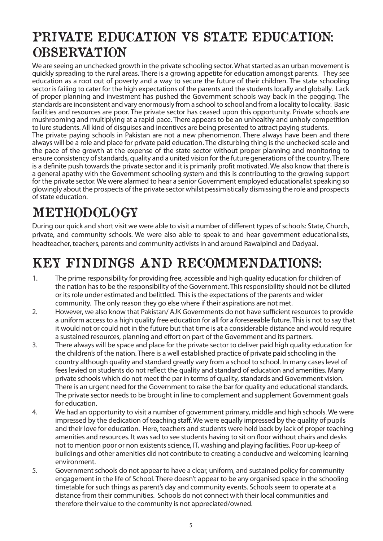#### PRIVATE EDUCATION VS STATE EDUCATION: **OBSERVATION**

We are seeing an unchecked growth in the private schooling sector. What started as an urban movement is quickly spreading to the rural areas. There is a growing appetite for education amongst parents. They see education as a root out of poverty and a way to secure the future of their children. The state schooling sector is failing to cater for the high expectations of the parents and the students locally and globally. Lack of proper planning and investment has pushed the Government schools way back in the pegging. The standards are inconsistent and vary enormously from a school to school and from a locality to locality. Basic facilities and resources are poor. The private sector has ceased upon this opportunity. Private schools are mushrooming and multiplying at a rapid pace. There appears to be an unhealthy and unholy competition to lure students. All kind of disguises and incentives are being presented to attract paying students. The private paying schools in Pakistan are not a new phenomenon. There always have been and there always will be a role and place for private paid education. The disturbing thing is the unchecked scale and the pace of the growth at the expense of the state sector without proper planning and monitoring to ensure consistency of standards, quality and a united vision for the future generations of the country. There is a definite push towards the private sector and it is primarily profit motivated. We also know that there is a general apathy with the Government schooling system and this is contributing to the growing support for the private sector. We were alarmed to hear a senior Government employed educationalist speaking so glowingly about the prospects of the private sector whilst pessimistically dismissing the role and prospects of state education.

# METHODOLOGY

During our quick and short visit we were able to visit a number of different types of schools: State, Church, private, and community schools. We were also able to speak to and hear government educationalists, headteacher, teachers, parents and community activists in and around Rawalpindi and Dadyaal.

# KEY FINDINGS AND RECOMMENDATIONS:

- 1. The prime responsibility for providing free, accessible and high quality education for children of the nation has to be the responsibility of the Government. This responsibility should not be diluted or its role under estimated and belittled. This is the expectations of the parents and wider community. The only reason they go else where if their aspirations are not met.
- 2. However, we also know that Pakistan/ AJK Governments do not have sufficient resources to provide a uniform access to a high quality free education for all for a foreseeable future. This is not to say that it would not or could not in the future but that time is at a considerable distance and would require a sustained resources, planning and effort on part of the Government and its partners.
- 3. There always will be space and place for the private sector to deliver paid high quality education for the children's of the nation. There is a well established practice of private paid schooling in the country although quality and standard greatly vary from a school to school. In many cases level of fees levied on students do not reflect the quality and standard of education and amenities. Many private schools which do not meet the par in terms of quality, standards and Government vision. There is an urgent need for the Government to raise the bar for quality and educational standards. The private sector needs to be brought in line to complement and supplement Government goals for education.
- 4. We had an opportunity to visit a number of government primary, middle and high schools. We were impressed by the dedication of teaching staff. We were equally impressed by the quality of pupils and their love for education. Here, teachers and students were held back by lack of proper teaching amenities and resources. It was sad to see students having to sit on floor without chairs and desks not to mention poor or non existents science, IT, washing and playing facilities. Poor up-keep of buildings and other amenities did not contribute to creating a conducive and welcoming learning environment.
- 5. Government schools do not appear to have a clear, uniform, and sustained policy for community engagement in the life of School. There doesn't appear to be any organised space in the schooling timetable for such things as parent's day and community events. Schools seem to operate at a distance from their communities. Schools do not connect with their local communities and therefore their value to the community is not appreciated/owned.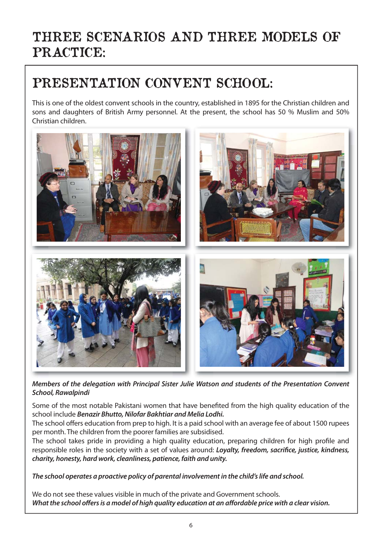### THREE SCENARIOS AND THREE MODELS OF PRACTICE:

#### PRESENTATION CONVENT SCHOOL:

This is one of the oldest convent schools in the country, established in 1895 for the Christian children and sons and daughters of British Army personnel. At the present, the school has 50 % Muslim and 50% Christian children.



*Members of the delegation with Principal Sister Julie Watson and students of the Presentation Convent School, Rawalpindi*

Some of the most notable Pakistani women that have benefited from the high quality education of the school include *Benazir Bhutto, Nilofar Bakhtiar and Melia Lodhi.*

The school offers education from prep to high. It is a paid school with an average fee of about 1500 rupees per month. The children from the poorer families are subsidised.

The school takes pride in providing a high quality education, preparing children for high profile and responsible roles in the society with a set of values around: *Loyalty, freedom, sacrifice, justice, kindness, charity, honesty, hard work, cleanliness, patience, faith and unity.*

*The school operates a proactive policy of parental involvement in the child's life and school.*

We do not see these values visible in much of the private and Government schools. *What the school offers is a model of high quality education at an affordable price with a clear vision.*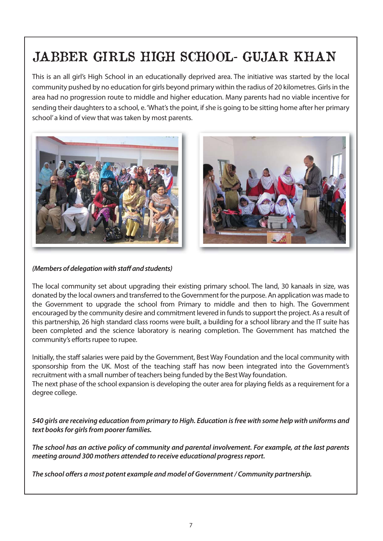# JABBER GIRLS HIGH SCHOOL- GUJAR KHAN

This is an all girl's High School in an educationally deprived area. The initiative was started by the local community pushed by no education for girls beyond primary within the radius of 20 kilometres. Girls in the area had no progression route to middle and higher education. Many parents had no viable incentive for sending their daughters to a school, e. 'What's the point, if she is going to be sitting home after her primary school' a kind of view that was taken by most parents.





*(Members of delegation with staff and students)*

The local community set about upgrading their existing primary school. The land, 30 kanaals in size, was donated by the local owners and transferred to the Government for the purpose. An application was made to the Government to upgrade the school from Primary to middle and then to high. The Government encouraged by the community desire and commitment levered in funds to support the project. As a result of this partnership, 26 high standard class rooms were built, a building for a school library and the IT suite has been completed and the science laboratory is nearing completion. The Government has matched the community's efforts rupee to rupee.

Initially, the staff salaries were paid by the Government, Best Way Foundation and the local community with sponsorship from the UK. Most of the teaching staff has now been integrated into the Government's recruitment with a small number of teachers being funded by the Best Way foundation. The next phase of the school expansion is developing the outer area for playing fields as a requirement for a degree college.

*540 girls are receiving education from primary to High. Education is free with some help with uniforms and text books for girls from poorer families.*

*The school has an active policy of community and parental involvement. For example, at the last parents meeting around 300 mothers attended to receive educational progress report.* 

*The school offers a most potent example and model of Government / Community partnership.*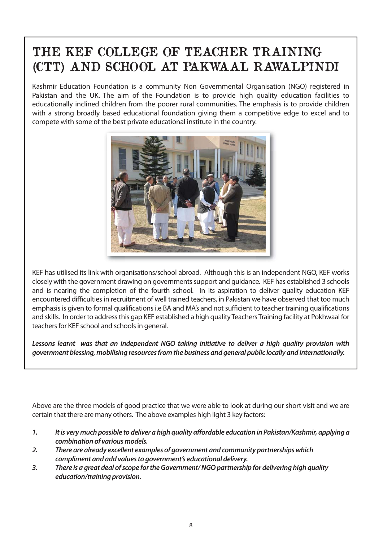#### THE KEF COLLEGE OF TEACHER TRAINING (CTT) AND SCHOOL AT PAKWAAL RAWALPINDI

Kashmir Education Foundation is a community Non Governmental Organisation (NGO) registered in Pakistan and the UK. The aim of the Foundation is to provide high quality education facilities to educationally inclined children from the poorer rural communities. The emphasis is to provide children with a strong broadly based educational foundation giving them a competitive edge to excel and to compete with some of the best private educational institute in the country.



KEF has utilised its link with organisations/school abroad. Although this is an independent NGO, KEF works closely with the government drawing on governments support and guidance. KEF has established 3 schools and is nearing the completion of the fourth school. In its aspiration to deliver quality education KEF encountered difficulties in recruitment of well trained teachers, in Pakistan we have observed that too much emphasis is given to formal qualifications i.e BA and MA's and not sufficient to teacher training qualifications and skills. In order to address this gap KEF established a high quality Teachers Training facility at Pokhwaal for teachers for KEF school and schools in general.

*Lessons learnt was that an independent NGO taking initiative to deliver a high quality provision with government blessing, mobilising resources from the business and general public locally and internationally.*

Above are the three models of good practice that we were able to look at during our short visit and we are certain that there are many others. The above examples high light 3 key factors:

- *1. It is very much possible to deliver a high quality affordable education in Pakistan/Kashmir, applying a combination of various models.*
- *2. There are already excellent examples of government and community partnerships which compliment and add values to government's educational delivery.*
- *3. There is a great deal of scope for the Government/ NGO partnership for delivering high quality education/training provision.*